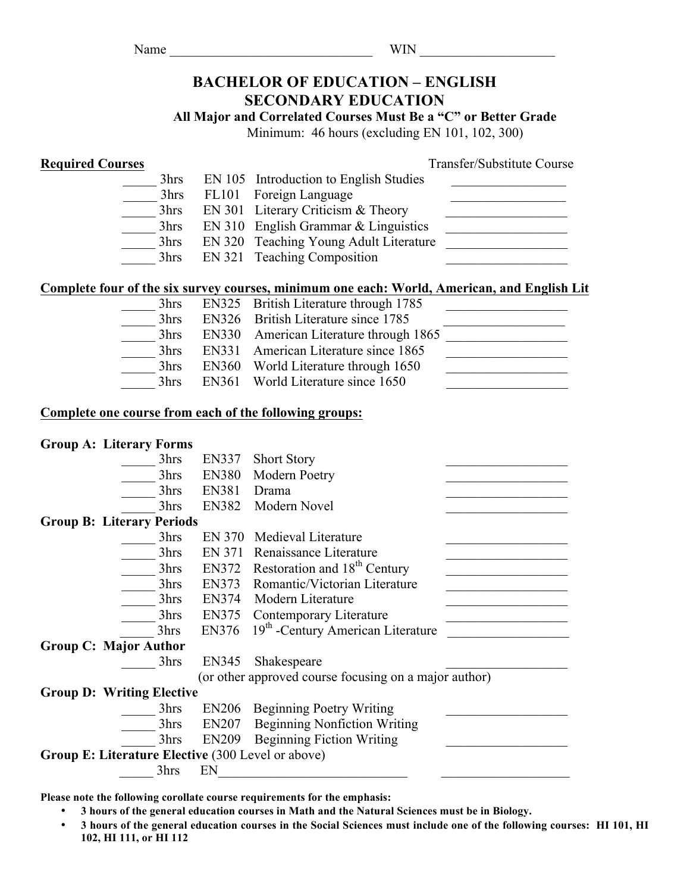### $WIN$

# **BACHELOR OF EDUCATION – ENGLISH SECONDARY EDUCATION**

**All Major and Correlated Courses Must Be a "C" or Better Grade**

Minimum: 46 hours (excluding EN 101, 102, 300)

**Required Courses**<br>
<sup>2</sup> PN 105 Introduction to English Studies<br>
<sup>2</sup> PN 105 Introduction to English Studies

|  | 3hrs | EN 105 Introduction to English Studies |  |
|--|------|----------------------------------------|--|
|  | 3hrs | FL101 Foreign Language                 |  |
|  | 3hrs | EN 301 Literary Criticism $&$ Theory   |  |
|  | 3hrs | $EN 310$ English Grammar & Linguistics |  |
|  | 3hrs | EN 320 Teaching Young Adult Literature |  |
|  | 3hrs | EN 321 Teaching Composition            |  |

## **Complete four of the six survey courses, minimum one each: World, American, and English Lit**

| 3hrs | EN325 British Literature through 1785  |  |
|------|----------------------------------------|--|
| 3hrs | EN326 British Literature since 1785    |  |
| 3hrs | EN330 American Literature through 1865 |  |
| 3hrs | EN331 American Literature since 1865   |  |
| 3hrs | EN360 World Literature through 1650    |  |
| 3hrs | EN361 World Literature since 1650      |  |

## **Complete one course from each of the following groups:**

## **Group A: Literary Forms**

| 3hrs<br><b>EN380</b><br>Modern Poetry<br><b>EN381</b><br>3hrs<br>Drama<br>Modern Novel<br>3hrs<br><b>EN382</b><br><b>Group B: Literary Periods</b><br>Medieval Literature<br>EN 370<br>3hrs<br><b>EN 371</b><br>3hrs<br>Renaissance Literature<br>Restoration and 18 <sup>th</sup> Century<br>EN372<br>3hrs<br>Romantic/Victorian Literature<br>EN373<br>3hrs<br><b>EN374</b><br>Modern Literature<br>3hrs<br>3hrs<br><b>EN375</b><br>Contemporary Literature<br>19 <sup>th</sup> -Century American Literature<br>3hrs<br>EN376<br><b>Group C: Major Author</b><br>EN345<br>3hrs<br>Shakespeare<br>(or other approved course focusing on a major author)<br><b>Group D: Writing Elective</b><br>3hrs<br><b>EN206</b><br><b>Beginning Poetry Writing</b><br><b>Beginning Nonfiction Writing</b><br>3hrs<br><b>EN207</b><br><b>Beginning Fiction Writing</b><br>3hrs<br><b>EN209</b><br>Group E: Literature Elective (300 Level or above)<br>EN<br>3hrs | 3hrs | <b>EN337</b> | <b>Short Story</b> |  |
|-------------------------------------------------------------------------------------------------------------------------------------------------------------------------------------------------------------------------------------------------------------------------------------------------------------------------------------------------------------------------------------------------------------------------------------------------------------------------------------------------------------------------------------------------------------------------------------------------------------------------------------------------------------------------------------------------------------------------------------------------------------------------------------------------------------------------------------------------------------------------------------------------------------------------------------------------------|------|--------------|--------------------|--|
|                                                                                                                                                                                                                                                                                                                                                                                                                                                                                                                                                                                                                                                                                                                                                                                                                                                                                                                                                       |      |              |                    |  |
|                                                                                                                                                                                                                                                                                                                                                                                                                                                                                                                                                                                                                                                                                                                                                                                                                                                                                                                                                       |      |              |                    |  |
|                                                                                                                                                                                                                                                                                                                                                                                                                                                                                                                                                                                                                                                                                                                                                                                                                                                                                                                                                       |      |              |                    |  |
|                                                                                                                                                                                                                                                                                                                                                                                                                                                                                                                                                                                                                                                                                                                                                                                                                                                                                                                                                       |      |              |                    |  |
|                                                                                                                                                                                                                                                                                                                                                                                                                                                                                                                                                                                                                                                                                                                                                                                                                                                                                                                                                       |      |              |                    |  |
|                                                                                                                                                                                                                                                                                                                                                                                                                                                                                                                                                                                                                                                                                                                                                                                                                                                                                                                                                       |      |              |                    |  |
|                                                                                                                                                                                                                                                                                                                                                                                                                                                                                                                                                                                                                                                                                                                                                                                                                                                                                                                                                       |      |              |                    |  |
|                                                                                                                                                                                                                                                                                                                                                                                                                                                                                                                                                                                                                                                                                                                                                                                                                                                                                                                                                       |      |              |                    |  |
|                                                                                                                                                                                                                                                                                                                                                                                                                                                                                                                                                                                                                                                                                                                                                                                                                                                                                                                                                       |      |              |                    |  |
|                                                                                                                                                                                                                                                                                                                                                                                                                                                                                                                                                                                                                                                                                                                                                                                                                                                                                                                                                       |      |              |                    |  |
|                                                                                                                                                                                                                                                                                                                                                                                                                                                                                                                                                                                                                                                                                                                                                                                                                                                                                                                                                       |      |              |                    |  |
|                                                                                                                                                                                                                                                                                                                                                                                                                                                                                                                                                                                                                                                                                                                                                                                                                                                                                                                                                       |      |              |                    |  |
|                                                                                                                                                                                                                                                                                                                                                                                                                                                                                                                                                                                                                                                                                                                                                                                                                                                                                                                                                       |      |              |                    |  |
|                                                                                                                                                                                                                                                                                                                                                                                                                                                                                                                                                                                                                                                                                                                                                                                                                                                                                                                                                       |      |              |                    |  |
|                                                                                                                                                                                                                                                                                                                                                                                                                                                                                                                                                                                                                                                                                                                                                                                                                                                                                                                                                       |      |              |                    |  |
|                                                                                                                                                                                                                                                                                                                                                                                                                                                                                                                                                                                                                                                                                                                                                                                                                                                                                                                                                       |      |              |                    |  |
|                                                                                                                                                                                                                                                                                                                                                                                                                                                                                                                                                                                                                                                                                                                                                                                                                                                                                                                                                       |      |              |                    |  |
|                                                                                                                                                                                                                                                                                                                                                                                                                                                                                                                                                                                                                                                                                                                                                                                                                                                                                                                                                       |      |              |                    |  |
|                                                                                                                                                                                                                                                                                                                                                                                                                                                                                                                                                                                                                                                                                                                                                                                                                                                                                                                                                       |      |              |                    |  |
|                                                                                                                                                                                                                                                                                                                                                                                                                                                                                                                                                                                                                                                                                                                                                                                                                                                                                                                                                       |      |              |                    |  |

**Please note the following corollate course requirements for the emphasis:**

- **3 hours of the general education courses in Math and the Natural Sciences must be in Biology.**
- **3 hours of the general education courses in the Social Sciences must include one of the following courses: HI 101, HI 102, HI 111, or HI 112**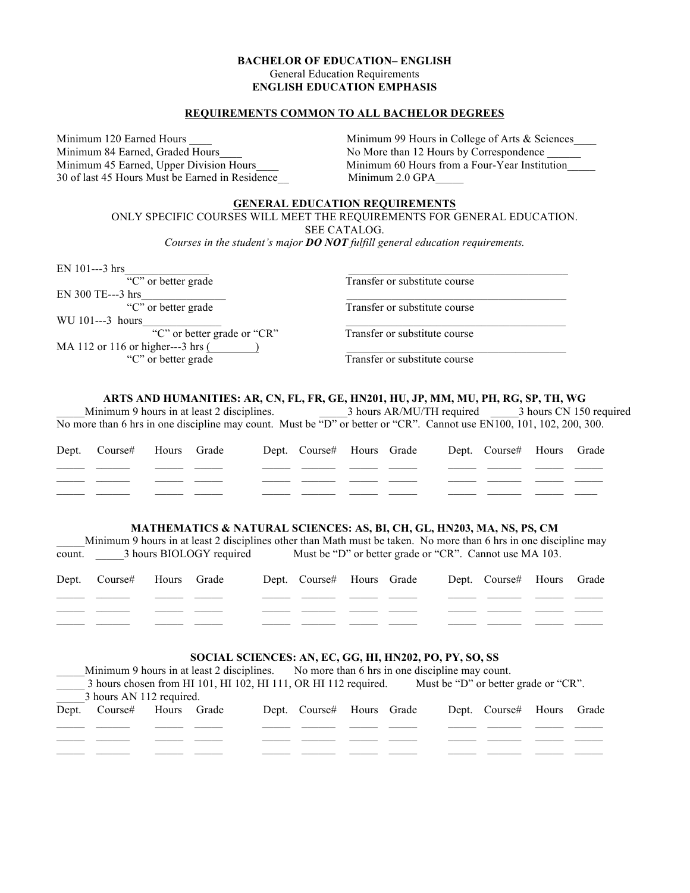#### **BACHELOR OF EDUCATION– ENGLISH** General Education Requirements **ENGLISH EDUCATION EMPHASIS**

#### **REQUIREMENTS COMMON TO ALL BACHELOR DEGREES**

Minimum 84 Earned, Graded Hours No More than 12 Hours by Correspondence 30 of last 45 Hours Must be Earned in Residence Minimum 2.0 GPA

Minimum 120 Earned Hours **Minimum 99 Hours in College of Arts & Sciences** Minimum 45 Earned, Upper Division Hours Minimum 60 Hours from a Four-Year Institution

#### **GENERAL EDUCATION REQUIREMENTS**

ONLY SPECIFIC COURSES WILL MEET THE REQUIREMENTS FOR GENERAL EDUCATION. SEE CATALOG.

*Courses in the student's major DO NOT fulfill general education requirements.*

EN 101---3 hrs $\frac{C^{\prime\prime}C^{\prime\prime}$  or better grade Transfer or substitute course EN 300 TE---3 hrs "C" or better grade Transfer or substitute course WU 101---3 hours "C" or better grade or "CR" Transfer or substitute course MA 112 or 116 or higher---3 hrs  $($ "C" or better grade Transfer or substitute course

#### **ARTS AND HUMANITIES: AR, CN, FL, FR, GE, HN201, HU, JP, MM, MU, PH, RG, SP, TH, WG**

Minimum 9 hours in at least 2 disciplines.  $\frac{3 \text{ hours AR/MU/TH} \text{ required}}{3 \text{ hours CM 150} \text{ required}}$ No more than 6 hrs in one discipline may count. Must be "D" or better or "CR". Cannot use EN100, 101, 102, 200, 300.

| Dept. Course# Hours Grade |  |  | Dept. Course# Hours Grade Dept. Course# Hours Grade |  |  |
|---------------------------|--|--|-----------------------------------------------------|--|--|
|                           |  |  |                                                     |  |  |
|                           |  |  |                                                     |  |  |
|                           |  |  |                                                     |  |  |

#### **MATHEMATICS & NATURAL SCIENCES: AS, BI, CH, GL, HN203, MA, NS, PS, CM**

Minimum 9 hours in at least 2 disciplines other than Math must be taken. No more than 6 hrs in one discipline may count.  $\qquad$  3 hours BIOLOGY required Must be "D" or better grade or "CR". Cannot use MA 103.

| Dept. Course# Hours Grade |  |  | Dept. Course# Hours Grade | Dept. Course# Hours Grade |  |
|---------------------------|--|--|---------------------------|---------------------------|--|
|                           |  |  |                           |                           |  |
|                           |  |  |                           |                           |  |
|                           |  |  |                           |                           |  |

#### **SOCIAL SCIENCES: AN, EC, GG, HI, HN202, PO, PY, SO, SS**

| Minimum 9 hours in at least 2 disciplines.                      |  |  |  | No more than 6 hrs in one discipline may count. |  |  |                                      |                           |  |  |
|-----------------------------------------------------------------|--|--|--|-------------------------------------------------|--|--|--------------------------------------|---------------------------|--|--|
| 3 hours chosen from HI 101, HI 102, HI 111, OR HI 112 required. |  |  |  |                                                 |  |  | Must be "D" or better grade or "CR". |                           |  |  |
| 3 hours AN 112 required.                                        |  |  |  |                                                 |  |  |                                      |                           |  |  |
| Dept. Course# Hours Grade                                       |  |  |  | Dept. Course# Hours Grade                       |  |  |                                      | Dept. Course# Hours Grade |  |  |
|                                                                 |  |  |  |                                                 |  |  |                                      |                           |  |  |
|                                                                 |  |  |  |                                                 |  |  |                                      |                           |  |  |
|                                                                 |  |  |  |                                                 |  |  |                                      |                           |  |  |